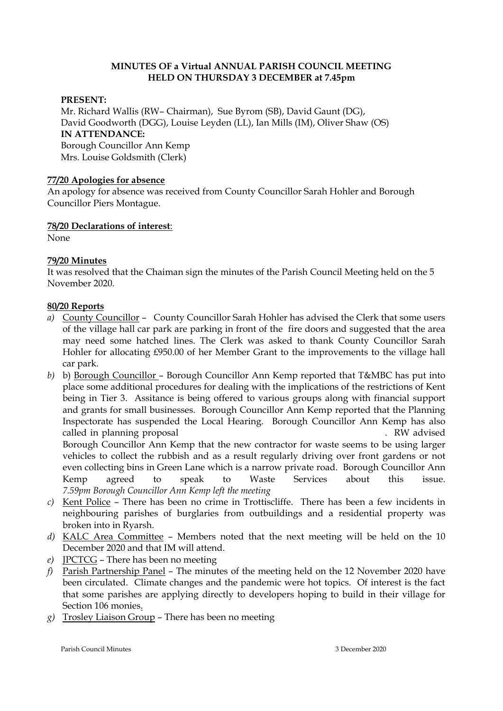#### **MINUTES OF a Virtual ANNUAL PARISH COUNCIL MEETING HELD ON THURSDAY 3 DECEMBER at 7.45pm**

#### **PRESENT:**

Mr. Richard Wallis (RW– Chairman), Sue Byrom (SB), David Gaunt (DG), David Goodworth (DGG), Louise Leyden (LL), Ian Mills (IM), Oliver Shaw (OS) **IN ATTENDANCE:**  Borough Councillor Ann Kemp Mrs. Louise Goldsmith (Clerk)

#### **77/20 Apologies for absence**

An apology for absence was received from County Councillor Sarah Hohler and Borough Councillor Piers Montague.

#### **78/20 Declarations of interest**:

None

## **79/20 Minutes**

It was resolved that the Chaiman sign the minutes of the Parish Council Meeting held on the 5 November 2020.

#### **80/20 Reports**

*a)* County Councillor – County Councillor Sarah Hohler has advised the Clerk that some users of the village hall car park are parking in front of the fire doors and suggested that the area may need some hatched lines. The Clerk was asked to thank County Councillor Sarah Hohler for allocating £950.00 of her Member Grant to the improvements to the village hall car park.

*b)* b) Borough Councillor – Borough Councillor Ann Kemp reported that T&MBC has put into place some additional procedures for dealing with the implications of the restrictions of Kent being in Tier 3. Assitance is being offered to various groups along with financial support and grants for small businesses. Borough Councillor Ann Kemp reported that the Planning Inspectorate has suspended the Local Hearing. Borough Councillor Ann Kemp has also called in planning proposal TM/20025-FL for 1 Green Lane, Trottischi et al. RW advised Borough Councillor Ann Kemp that the new contractor for waste seems to be using larger vehicles to collect the rubbish and as a result regularly driving over front gardens or not even collecting bins in Green Lane which is a narrow private road. Borough Councillor Ann Kemp agreed to speak to Waste Services about this issue. *7.59pm Borough Councillor Ann Kemp left the meeting* 

- *c)* Kent Police There has been no crime in Trottiscliffe. There has been a few incidents in neighbouring parishes of burglaries from outbuildings and a residential property was broken into in Ryarsh.
- *d)* KALC Area Committee Members noted that the next meeting will be held on the 10 December 2020 and that IM will attend.
- *e)* JPCTCG There has been no meeting
- *f)* Parish Partnership Panel The minutes of the meeting held on the 12 November 2020 have been circulated. Climate changes and the pandemic were hot topics. Of interest is the fact that some parishes are applying directly to developers hoping to build in their village for Section 106 monies.
- *g)* Trosley Liaison Group There has been no meeting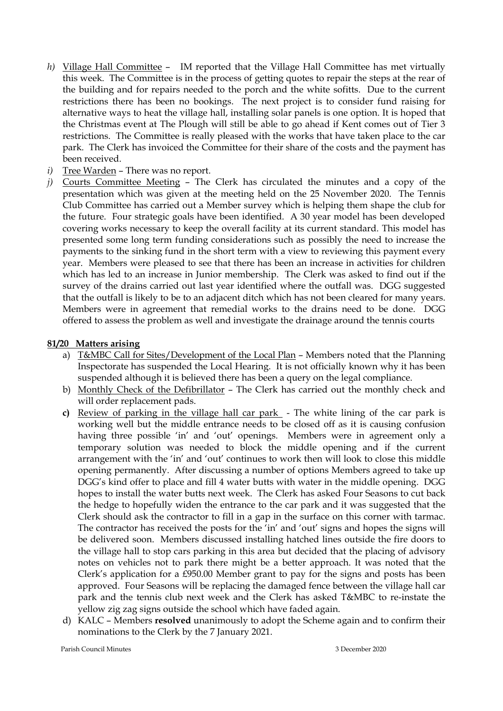- *h*) Village Hall Committee IM reported that the Village Hall Committee has met virtually this week. The Committee is in the process of getting quotes to repair the steps at the rear of the building and for repairs needed to the porch and the white sofitts. Due to the current restrictions there has been no bookings. The next project is to consider fund raising for alternative ways to heat the village hall, installing solar panels is one option. It is hoped that the Christmas event at The Plough will still be able to go ahead if Kent comes out of Tier 3 restrictions. The Committee is really pleased with the works that have taken place to the car park. The Clerk has invoiced the Committee for their share of the costs and the payment has been received.
- *i*) Tree Warden There was no report.
- *j)* Courts Committee Meeting The Clerk has circulated the minutes and a copy of the presentation which was given at the meeting held on the 25 November 2020. The Tennis Club Committee has carried out a Member survey which is helping them shape the club for the future. Four strategic goals have been identified. A 30 year model has been developed covering works necessary to keep the overall facility at its current standard. This model has presented some long term funding considerations such as possibly the need to increase the payments to the sinking fund in the short term with a view to reviewing this payment every year. Members were pleased to see that there has been an increase in activities for children which has led to an increase in Junior membership. The Clerk was asked to find out if the survey of the drains carried out last year identified where the outfall was. DGG suggested that the outfall is likely to be to an adjacent ditch which has not been cleared for many years. Members were in agreement that remedial works to the drains need to be done. DGG offered to assess the problem as well and investigate the drainage around the tennis courts

## **81/20 Matters arising**

- a) T&MBC Call for Sites/Development of the Local Plan Members noted that the Planning Inspectorate has suspended the Local Hearing. It is not officially known why it has been suspended although it is believed there has been a query on the legal compliance.
- b) Monthly Check of the Defibrillator The Clerk has carried out the monthly check and will order replacement pads.
- **c)** Review of parking in the village hall car park The white lining of the car park is working well but the middle entrance needs to be closed off as it is causing confusion having three possible 'in' and 'out' openings. Members were in agreement only a temporary solution was needed to block the middle opening and if the current arrangement with the 'in' and 'out' continues to work then will look to close this middle opening permanently. After discussing a number of options Members agreed to take up DGG's kind offer to place and fill 4 water butts with water in the middle opening. DGG hopes to install the water butts next week. The Clerk has asked Four Seasons to cut back the hedge to hopefully widen the entrance to the car park and it was suggested that the Clerk should ask the contractor to fill in a gap in the surface on this corner with tarmac. The contractor has received the posts for the 'in' and 'out' signs and hopes the signs will be delivered soon. Members discussed installing hatched lines outside the fire doors to the village hall to stop cars parking in this area but decided that the placing of advisory notes on vehicles not to park there might be a better approach. It was noted that the Clerk's application for a £950.00 Member grant to pay for the signs and posts has been approved. Four Seasons will be replacing the damaged fence between the village hall car park and the tennis club next week and the Clerk has asked T&MBC to re-instate the yellow zig zag signs outside the school which have faded again.
- d) KALC Members **resolved** unanimously to adopt the Scheme again and to confirm their nominations to the Clerk by the 7 January 2021.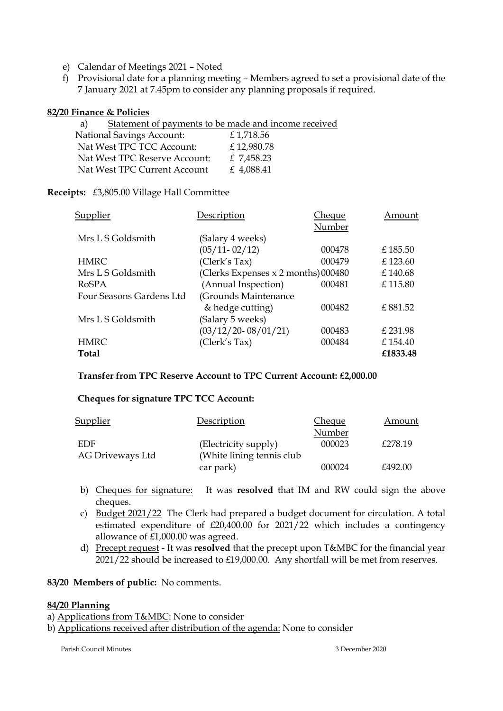- e) Calendar of Meetings 2021 Noted
- f) Provisional date for a planning meeting Members agreed to set a provisional date of the 7 January 2021 at 7.45pm to consider any planning proposals if required.

#### **82/20 Finance & Policies**

| a)                               | Statement of payments to be made and income received |
|----------------------------------|------------------------------------------------------|
| <b>National Savings Account:</b> | £1,718.56                                            |
| Nat West TPC TCC Account:        | £12,980.78                                           |
| Nat West TPC Reserve Account:    | £ 7,458.23                                           |
| Nat West TPC Current Account     | £ 4,088.41                                           |

#### **Receipts:** £3,805.00 Village Hall Committee

| Supplier                 | Description                         | Cheque | Amount   |
|--------------------------|-------------------------------------|--------|----------|
|                          |                                     | Number |          |
| Mrs L S Goldsmith        | (Salary 4 weeks)                    |        |          |
|                          | $(05/11 - 02/12)$                   | 000478 | £185.50  |
| <b>HMRC</b>              | (Clerk's Tax)                       | 000479 | £123.60  |
| Mrs L S Goldsmith        | (Clerks Expenses x 2 months) 000480 |        | £140.68  |
| RoSPA                    | (Annual Inspection)                 | 000481 | £115.80  |
| Four Seasons Gardens Ltd | (Grounds Maintenance                |        |          |
|                          | & hedge cutting)                    | 000482 | £881.52  |
| Mrs L S Goldsmith        | (Salary 5 weeks)                    |        |          |
|                          | $(03/12/20 - 08/01/21)$             | 000483 | £ 231.98 |
| <b>HMRC</b>              | (Clerk's Tax)                       | 000484 | £154.40  |
| Total                    |                                     |        | £1833.48 |

#### **Transfer from TPC Reserve Account to TPC Current Account: £2,000.00**

## **Cheques for signature TPC TCC Account:**

| <b>Supplier</b>  | Description                | Cheque | Amount  |
|------------------|----------------------------|--------|---------|
|                  |                            | Number |         |
| EDF              | (Electricity supply)       | 000023 | £278.19 |
| AG Driveways Ltd | (White lining tennis club) |        |         |
|                  | car park)                  | 000024 | £492.00 |

- b) Cheques for signature: It was **resolved** that IM and RW could sign the above cheques.
- c) Budget 2021/22 The Clerk had prepared a budget document for circulation. A total estimated expenditure of  $£20,400.00$  for  $2021/22$  which includes a contingency allowance of £1,000.00 was agreed.
- d) Precept request It was **resolved** that the precept upon T&MBC for the financial year 2021/22 should be increased to £19,000.00. Any shortfall will be met from reserves.

## **83/20 Members of public:** No comments.

## **84/20 Planning**

- a) Applications from T&MBC: None to consider
- b) Applications received after distribution of the agenda: None to consider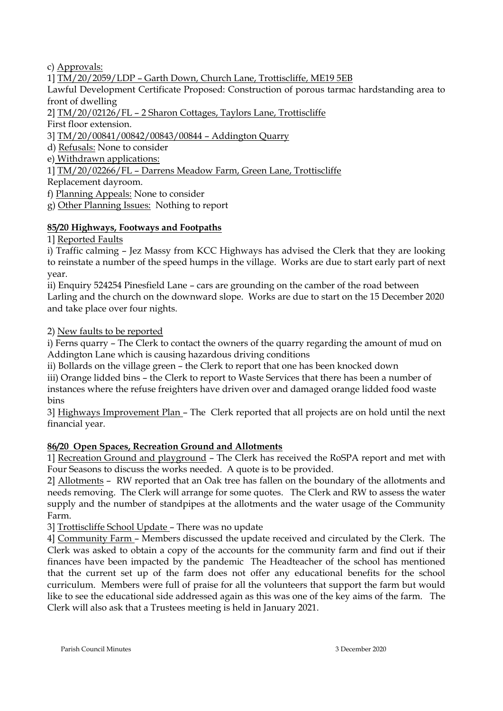c) Approvals:

1] TM/20/2059/LDP – Garth Down, Church Lane, Trottiscliffe, ME19 5EB

Lawful Development Certificate Proposed: Construction of porous tarmac hardstanding area to front of dwelling

2] TM/20/02126/FL – 2 Sharon Cottages, Taylors Lane, Trottiscliffe

First floor extension.

3] TM/20/00841/00842/00843/00844 – Addington Quarry

d) Refusals: None to consider

e) Withdrawn applications:

1] TM/20/02266/FL – Darrens Meadow Farm, Green Lane, Trottiscliffe

Replacement dayroom.

f) Planning Appeals: None to consider

g) Other Planning Issues: Nothing to report

## **85/20 Highways, Footways and Footpaths**

1] Reported Faults

i) Traffic calming – Jez Massy from KCC Highways has advised the Clerk that they are looking to reinstate a number of the speed humps in the village. Works are due to start early part of next year.

ii) Enquiry 524254 Pinesfield Lane – cars are grounding on the camber of the road between Larling and the church on the downward slope. Works are due to start on the 15 December 2020 and take place over four nights.

2) New faults to be reported

i) Ferns quarry – The Clerk to contact the owners of the quarry regarding the amount of mud on Addington Lane which is causing hazardous driving conditions

ii) Bollards on the village green – the Clerk to report that one has been knocked down

iii) Orange lidded bins – the Clerk to report to Waste Services that there has been a number of instances where the refuse freighters have driven over and damaged orange lidded food waste bins

3] Highways Improvement Plan – The Clerk reported that all projects are on hold until the next financial year.

# **86/20 Open Spaces, Recreation Ground and Allotments**

1] Recreation Ground and playground – The Clerk has received the RoSPA report and met with Four Seasons to discuss the works needed. A quote is to be provided.

2] Allotments – RW reported that an Oak tree has fallen on the boundary of the allotments and needs removing. The Clerk will arrange for some quotes. The Clerk and RW to assess the water supply and the number of standpipes at the allotments and the water usage of the Community Farm.

3] Trottiscliffe School Update – There was no update

4] Community Farm – Members discussed the update received and circulated by the Clerk. The Clerk was asked to obtain a copy of the accounts for the community farm and find out if their finances have been impacted by the pandemic The Headteacher of the school has mentioned that the current set up of the farm does not offer any educational benefits for the school curriculum. Members were full of praise for all the volunteers that support the farm but would like to see the educational side addressed again as this was one of the key aims of the farm. The Clerk will also ask that a Trustees meeting is held in January 2021.